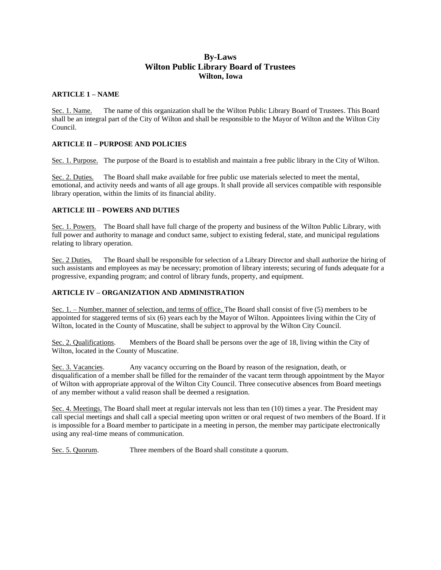#### **By-Laws Wilton Public Library Board of Trustees Wilton, Iowa**

#### **ARTICLE 1 – NAME**

Sec. 1. Name. The name of this organization shall be the Wilton Public Library Board of Trustees. This Board shall be an integral part of the City of Wilton and shall be responsible to the Mayor of Wilton and the Wilton City Council.

#### **ARTICLE II – PURPOSE AND POLICIES**

Sec. 1. Purpose. The purpose of the Board is to establish and maintain a free public library in the City of Wilton.

Sec. 2. Duties. The Board shall make available for free public use materials selected to meet the mental, emotional, and activity needs and wants of all age groups. It shall provide all services compatible with responsible library operation, within the limits of its financial ability.

#### **ARTICLE III – POWERS AND DUTIES**

Sec. 1. Powers. The Board shall have full charge of the property and business of the Wilton Public Library, with full power and authority to manage and conduct same, subject to existing federal, state, and municipal regulations relating to library operation.

Sec. 2 Duties. The Board shall be responsible for selection of a Library Director and shall authorize the hiring of such assistants and employees as may be necessary; promotion of library interests; securing of funds adequate for a progressive, expanding program; and control of library funds, property, and equipment.

#### **ARTICLE IV – ORGANIZATION AND ADMINISTRATION**

Sec. 1. – Number, manner of selection, and terms of office. The Board shall consist of five (5) members to be appointed for staggered terms of six (6) years each by the Mayor of Wilton. Appointees living within the City of Wilton, located in the County of Muscatine, shall be subject to approval by the Wilton City Council.

Sec. 2. Qualifications. Members of the Board shall be persons over the age of 18, living within the City of Wilton, located in the County of Muscatine.

Sec. 3. Vacancies. Any vacancy occurring on the Board by reason of the resignation, death, or disqualification of a member shall be filled for the remainder of the vacant term through appointment by the Mayor of Wilton with appropriate approval of the Wilton City Council. Three consecutive absences from Board meetings of any member without a valid reason shall be deemed a resignation.

Sec. 4. Meetings. The Board shall meet at regular intervals not less than ten (10) times a year. The President may call special meetings and shall call a special meeting upon written or oral request of two members of the Board. If it is impossible for a Board member to participate in a meeting in person, the member may participate electronically using any real-time means of communication.

Sec. 5. Quorum. Three members of the Board shall constitute a quorum.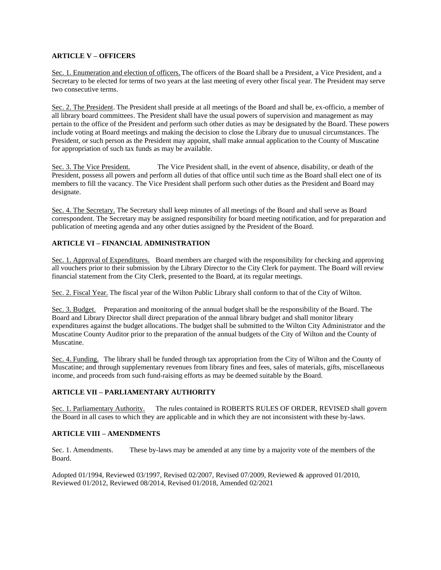#### **ARTICLE V – OFFICERS**

Sec. 1. Enumeration and election of officers. The officers of the Board shall be a President, a Vice President, and a Secretary to be elected for terms of two years at the last meeting of every other fiscal year. The President may serve two consecutive terms.

Sec. 2. The President. The President shall preside at all meetings of the Board and shall be, ex-officio, a member of all library board committees. The President shall have the usual powers of supervision and management as may pertain to the office of the President and perform such other duties as may be designated by the Board. These powers include voting at Board meetings and making the decision to close the Library due to unusual circumstances. The President, or such person as the President may appoint, shall make annual application to the County of Muscatine for appropriation of such tax funds as may be available.

Sec. 3. The Vice President. The Vice President shall, in the event of absence, disability, or death of the President, possess all powers and perform all duties of that office until such time as the Board shall elect one of its members to fill the vacancy. The Vice President shall perform such other duties as the President and Board may designate.

Sec. 4. The Secretary. The Secretary shall keep minutes of all meetings of the Board and shall serve as Board correspondent. The Secretary may be assigned responsibility for board meeting notification, and for preparation and publication of meeting agenda and any other duties assigned by the President of the Board.

#### **ARTICLE VI – FINANCIAL ADMINISTRATION**

Sec. 1. Approval of Expenditures. Board members are charged with the responsibility for checking and approving all vouchers prior to their submission by the Library Director to the City Clerk for payment. The Board will review financial statement from the City Clerk, presented to the Board, at its regular meetings.

Sec. 2. Fiscal Year. The fiscal year of the Wilton Public Library shall conform to that of the City of Wilton.

Sec. 3. Budget. Preparation and monitoring of the annual budget shall be the responsibility of the Board. The Board and Library Director shall direct preparation of the annual library budget and shall monitor library expenditures against the budget allocations. The budget shall be submitted to the Wilton City Administrator and the Muscatine County Auditor prior to the preparation of the annual budgets of the City of Wilton and the County of Muscatine.

Sec. 4. Funding. The library shall be funded through tax appropriation from the City of Wilton and the County of Muscatine; and through supplementary revenues from library fines and fees, sales of materials, gifts, miscellaneous income, and proceeds from such fund-raising efforts as may be deemed suitable by the Board.

#### **ARTICLE VII – PARLIAMENTARY AUTHORITY**

Sec. 1. Parliamentary Authority. The rules contained in ROBERTS RULES OF ORDER, REVISED shall govern the Board in all cases to which they are applicable and in which they are not inconsistent with these by-laws.

#### **ARTICLE VIII – AMENDMENTS**

Sec. 1. Amendments. These by-laws may be amended at any time by a majority vote of the members of the Board.

Adopted 01/1994, Reviewed 03/1997, Revised 02/2007, Revised 07/2009, Reviewed & approved 01/2010, Reviewed 01/2012, Reviewed 08/2014, Revised 01/2018, Amended 02/2021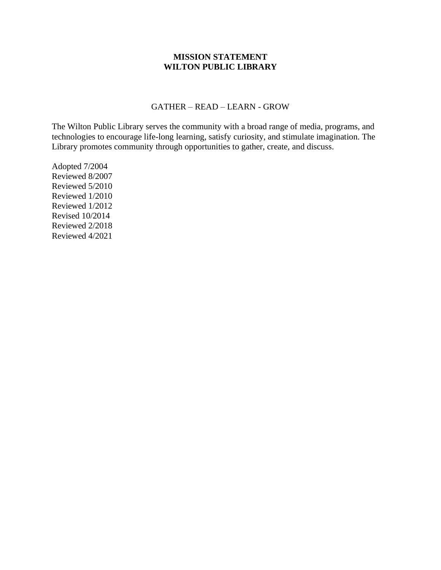### **MISSION STATEMENT WILTON PUBLIC LIBRARY**

### GATHER – READ – LEARN - GROW

The Wilton Public Library serves the community with a broad range of media, programs, and technologies to encourage life-long learning, satisfy curiosity, and stimulate imagination. The Library promotes community through opportunities to gather, create, and discuss.

Adopted 7/2004 Reviewed 8/2007 Reviewed 5/2010 Reviewed 1/2010 Reviewed 1/2012 Revised 10/2014 Reviewed 2/2018 Reviewed 4/2021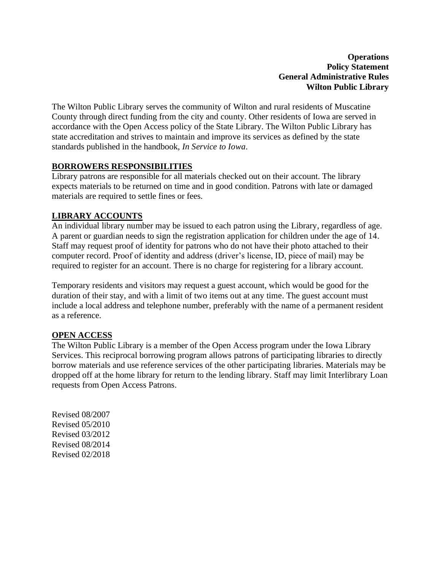**Operations Policy Statement General Administrative Rules Wilton Public Library**

The Wilton Public Library serves the community of Wilton and rural residents of Muscatine County through direct funding from the city and county. Other residents of Iowa are served in accordance with the Open Access policy of the State Library. The Wilton Public Library has state accreditation and strives to maintain and improve its services as defined by the state standards published in the handbook, *In Service to Iowa*.

## **BORROWERS RESPONSIBILITIES**

Library patrons are responsible for all materials checked out on their account. The library expects materials to be returned on time and in good condition. Patrons with late or damaged materials are required to settle fines or fees.

## **LIBRARY ACCOUNTS**

An individual library number may be issued to each patron using the Library, regardless of age. A parent or guardian needs to sign the registration application for children under the age of 14. Staff may request proof of identity for patrons who do not have their photo attached to their computer record. Proof of identity and address (driver's license, ID, piece of mail) may be required to register for an account. There is no charge for registering for a library account.

Temporary residents and visitors may request a guest account, which would be good for the duration of their stay, and with a limit of two items out at any time. The guest account must include a local address and telephone number, preferably with the name of a permanent resident as a reference.

## **OPEN ACCESS**

The Wilton Public Library is a member of the Open Access program under the Iowa Library Services. This reciprocal borrowing program allows patrons of participating libraries to directly borrow materials and use reference services of the other participating libraries. Materials may be dropped off at the home library for return to the lending library. Staff may limit Interlibrary Loan requests from Open Access Patrons.

Revised 08/2007 Revised 05/2010 Revised 03/2012 Revised 08/2014 Revised 02/2018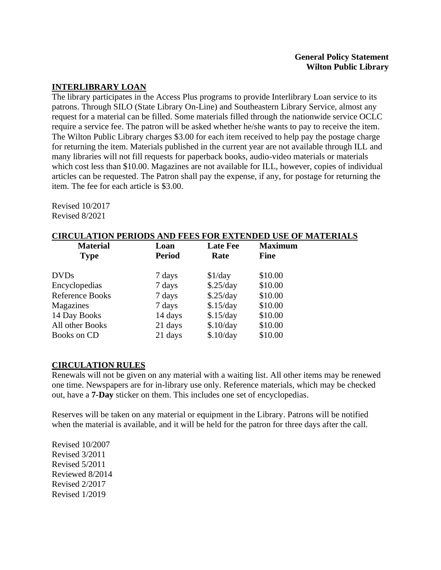### **General Policy Statement Wilton Public Library**

#### **INTERLIBRARY LOAN**

The library participates in the Access Plus programs to provide Interlibrary Loan service to its patrons. Through SILO (State Library On-Line) and Southeastern Library Service, almost any request for a material can be filled. Some materials filled through the nationwide service OCLC require a service fee. The patron will be asked whether he/she wants to pay to receive the item. The Wilton Public Library charges \$3.00 for each item received to help pay the postage charge for returning the item. Materials published in the current year are not available through ILL and many libraries will not fill requests for paperback books, audio-video materials or materials which cost less than \$10.00. Magazines are not available for ILL, however, copies of individual articles can be requested. The Patron shall pay the expense, if any, for postage for returning the item. The fee for each article is \$3.00.

Revised 10/2017 Revised 8/2021

#### **CIRCULATION PERIODS AND FEES FOR EXTENDED USE OF MATERIALS**

| <b>Material</b>        | Loan          | <b>Late Fee</b> | <b>Maximum</b> |
|------------------------|---------------|-----------------|----------------|
| <b>Type</b>            | <b>Period</b> | Rate            | <b>Fine</b>    |
| <b>DVDs</b>            | 7 days        | \$1/day         | \$10.00        |
| Encyclopedias          | 7 days        | \$.25/day       | \$10.00        |
| <b>Reference Books</b> | 7 days        | \$.25/day       | \$10.00        |
| Magazines              | 7 days        | \$.15/day       | \$10.00        |
| 14 Day Books           | 14 days       | \$.15/day       | \$10.00        |
| All other Books        | 21 days       | \$.10/day       | \$10.00        |
| Books on CD            | 21 days       | \$.10/day       | \$10.00        |

#### **CIRCULATION RULES**

Renewals will not be given on any material with a waiting list. All other items may be renewed one time. Newspapers are for in-library use only. Reference materials, which may be checked out, have a **7-Day** sticker on them. This includes one set of encyclopedias.

Reserves will be taken on any material or equipment in the Library. Patrons will be notified when the material is available, and it will be held for the patron for three days after the call.

Revised 10/2007 Revised 3/2011 Revised 5/2011 Reviewed 8/2014 Revised 2/2017 Revised 1/2019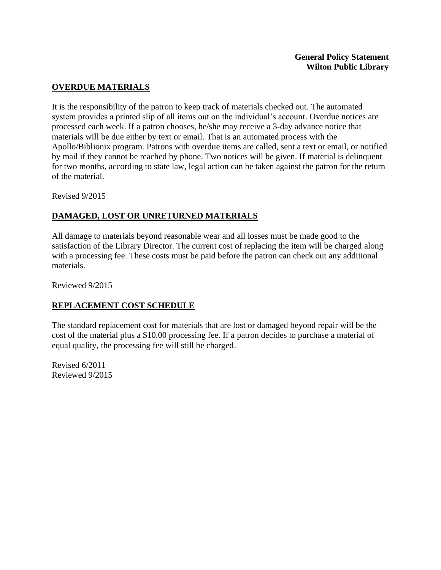# **OVERDUE MATERIALS**

It is the responsibility of the patron to keep track of materials checked out. The automated system provides a printed slip of all items out on the individual's account. Overdue notices are processed each week. If a patron chooses, he/she may receive a 3-day advance notice that materials will be due either by text or email. That is an automated process with the Apollo/Biblionix program. Patrons with overdue items are called, sent a text or email, or notified by mail if they cannot be reached by phone. Two notices will be given. If material is delinquent for two months, according to state law, legal action can be taken against the patron for the return of the material.

Revised 9/2015

# **DAMAGED, LOST OR UNRETURNED MATERIALS**

All damage to materials beyond reasonable wear and all losses must be made good to the satisfaction of the Library Director. The current cost of replacing the item will be charged along with a processing fee. These costs must be paid before the patron can check out any additional materials.

Reviewed 9/2015

# **REPLACEMENT COST SCHEDULE**

The standard replacement cost for materials that are lost or damaged beyond repair will be the cost of the material plus a \$10.00 processing fee. If a patron decides to purchase a material of equal quality, the processing fee will still be charged.

Revised 6/2011 Reviewed 9/2015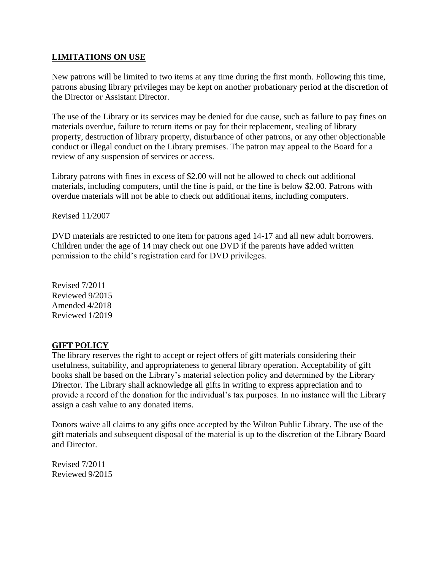## **LIMITATIONS ON USE**

New patrons will be limited to two items at any time during the first month. Following this time, patrons abusing library privileges may be kept on another probationary period at the discretion of the Director or Assistant Director.

The use of the Library or its services may be denied for due cause, such as failure to pay fines on materials overdue, failure to return items or pay for their replacement, stealing of library property, destruction of library property, disturbance of other patrons, or any other objectionable conduct or illegal conduct on the Library premises. The patron may appeal to the Board for a review of any suspension of services or access.

Library patrons with fines in excess of \$2.00 will not be allowed to check out additional materials, including computers, until the fine is paid, or the fine is below \$2.00. Patrons with overdue materials will not be able to check out additional items, including computers.

Revised 11/2007

DVD materials are restricted to one item for patrons aged 14-17 and all new adult borrowers. Children under the age of 14 may check out one DVD if the parents have added written permission to the child's registration card for DVD privileges.

Revised 7/2011 Reviewed 9/2015 Amended 4/2018 Reviewed 1/2019

#### **GIFT POLICY**

The library reserves the right to accept or reject offers of gift materials considering their usefulness, suitability, and appropriateness to general library operation. Acceptability of gift books shall be based on the Library's material selection policy and determined by the Library Director. The Library shall acknowledge all gifts in writing to express appreciation and to provide a record of the donation for the individual's tax purposes. In no instance will the Library assign a cash value to any donated items.

Donors waive all claims to any gifts once accepted by the Wilton Public Library. The use of the gift materials and subsequent disposal of the material is up to the discretion of the Library Board and Director.

Revised 7/2011 Reviewed 9/2015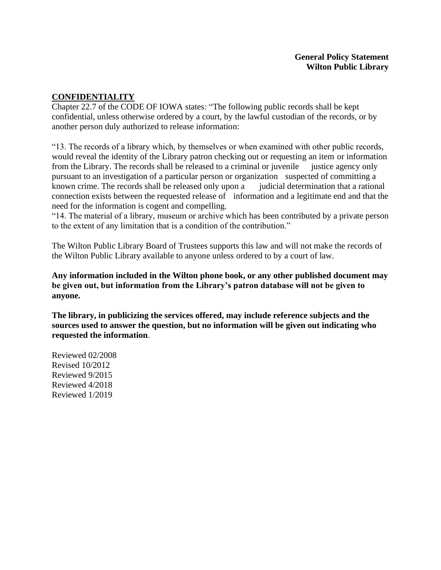# **CONFIDENTIALITY**

Chapter 22.7 of the CODE OF IOWA states: "The following public records shall be kept confidential, unless otherwise ordered by a court, by the lawful custodian of the records, or by another person duly authorized to release information:

"13. The records of a library which, by themselves or when examined with other public records, would reveal the identity of the Library patron checking out or requesting an item or information from the Library. The records shall be released to a criminal or juvenile justice agency only pursuant to an investigation of a particular person or organization suspected of committing a known crime. The records shall be released only upon a judicial determination that a rational connection exists between the requested release of information and a legitimate end and that the need for the information is cogent and compelling.

"14. The material of a library, museum or archive which has been contributed by a private person to the extent of any limitation that is a condition of the contribution."

The Wilton Public Library Board of Trustees supports this law and will not make the records of the Wilton Public Library available to anyone unless ordered to by a court of law.

**Any information included in the Wilton phone book, or any other published document may be given out, but information from the Library's patron database will not be given to anyone.**

**The library, in publicizing the services offered, may include reference subjects and the sources used to answer the question, but no information will be given out indicating who requested the information**.

Reviewed 02/2008 Revised 10/2012 Reviewed 9/2015 Reviewed 4/2018 Reviewed 1/2019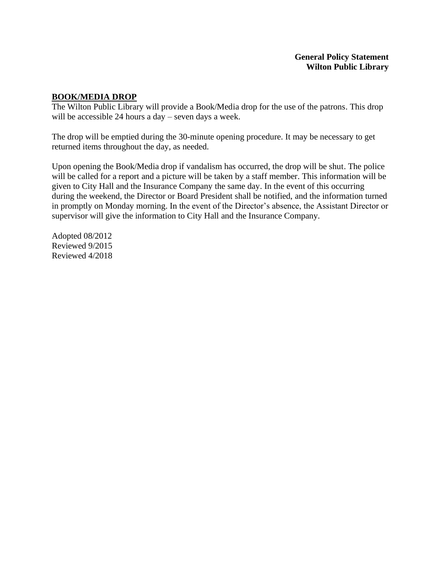## **BOOK/MEDIA DROP**

The Wilton Public Library will provide a Book/Media drop for the use of the patrons. This drop will be accessible 24 hours a day – seven days a week.

The drop will be emptied during the 30-minute opening procedure. It may be necessary to get returned items throughout the day, as needed.

Upon opening the Book/Media drop if vandalism has occurred, the drop will be shut. The police will be called for a report and a picture will be taken by a staff member. This information will be given to City Hall and the Insurance Company the same day. In the event of this occurring during the weekend, the Director or Board President shall be notified, and the information turned in promptly on Monday morning. In the event of the Director's absence, the Assistant Director or supervisor will give the information to City Hall and the Insurance Company.

Adopted 08/2012 Reviewed 9/2015 Reviewed 4/2018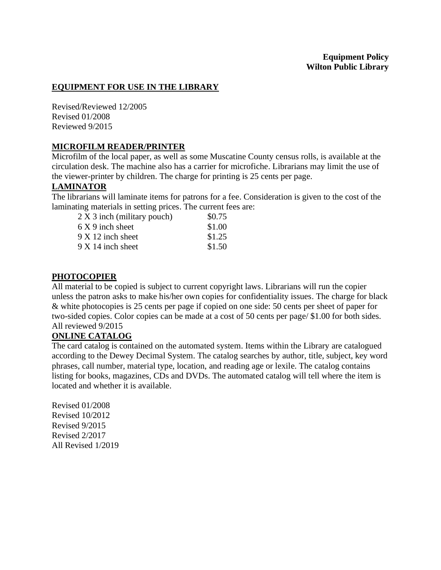# **EQUIPMENT FOR USE IN THE LIBRARY**

Revised/Reviewed 12/2005 Revised 01/2008 Reviewed 9/2015

## **MICROFILM READER/PRINTER**

Microfilm of the local paper, as well as some Muscatine County census rolls, is available at the circulation desk. The machine also has a carrier for microfiche. Librarians may limit the use of the viewer-printer by children. The charge for printing is 25 cents per page.

## **LAMINATOR**

The librarians will laminate items for patrons for a fee. Consideration is given to the cost of the laminating materials in setting prices. The current fees are:

| \$0.75 |
|--------|
| \$1.00 |
| \$1.25 |
| \$1.50 |
|        |

## **PHOTOCOPIER**

All material to be copied is subject to current copyright laws. Librarians will run the copier unless the patron asks to make his/her own copies for confidentiality issues. The charge for black & white photocopies is 25 cents per page if copied on one side: 50 cents per sheet of paper for two-sided copies. Color copies can be made at a cost of 50 cents per page/ \$1.00 for both sides. All reviewed 9/2015

## **ONLINE CATALOG**

The card catalog is contained on the automated system. Items within the Library are catalogued according to the Dewey Decimal System. The catalog searches by author, title, subject, key word phrases, call number, material type, location, and reading age or lexile. The catalog contains listing for books, magazines, CDs and DVDs. The automated catalog will tell where the item is located and whether it is available.

Revised 01/2008 Revised 10/2012 Revised 9/2015 Revised 2/2017 All Revised 1/2019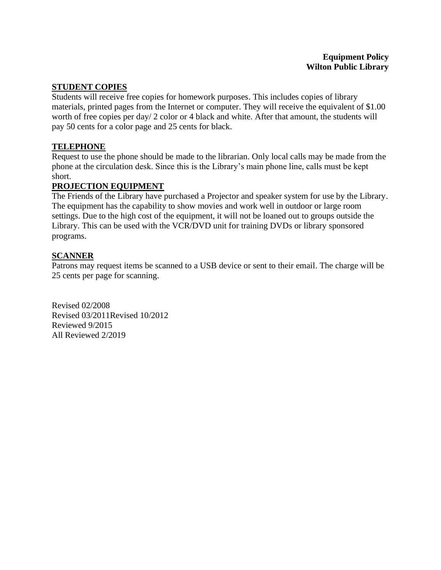## **STUDENT COPIES**

Students will receive free copies for homework purposes. This includes copies of library materials, printed pages from the Internet or computer. They will receive the equivalent of \$1.00 worth of free copies per day/ 2 color or 4 black and white. After that amount, the students will pay 50 cents for a color page and 25 cents for black.

## **TELEPHONE**

Request to use the phone should be made to the librarian. Only local calls may be made from the phone at the circulation desk. Since this is the Library's main phone line, calls must be kept short.

## **PROJECTION EQUIPMENT**

The Friends of the Library have purchased a Projector and speaker system for use by the Library. The equipment has the capability to show movies and work well in outdoor or large room settings. Due to the high cost of the equipment, it will not be loaned out to groups outside the Library. This can be used with the VCR/DVD unit for training DVDs or library sponsored programs.

## **SCANNER**

Patrons may request items be scanned to a USB device or sent to their email. The charge will be 25 cents per page for scanning.

Revised 02/2008 Revised 03/2011Revised 10/2012 Reviewed 9/2015 All Reviewed 2/2019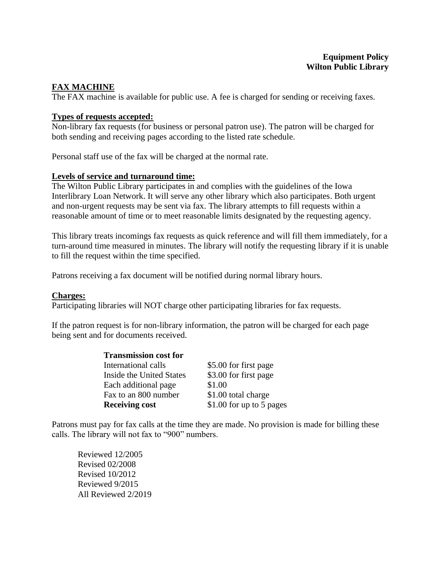## **FAX MACHINE**

The FAX machine is available for public use. A fee is charged for sending or receiving faxes.

#### **Types of requests accepted:**

Non-library fax requests (for business or personal patron use). The patron will be charged for both sending and receiving pages according to the listed rate schedule.

Personal staff use of the fax will be charged at the normal rate.

## **Levels of service and turnaround time:**

The Wilton Public Library participates in and complies with the guidelines of the Iowa Interlibrary Loan Network. It will serve any other library which also participates. Both urgent and non-urgent requests may be sent via fax. The library attempts to fill requests within a reasonable amount of time or to meet reasonable limits designated by the requesting agency.

This library treats incomings fax requests as quick reference and will fill them immediately, for a turn-around time measured in minutes. The library will notify the requesting library if it is unable to fill the request within the time specified.

Patrons receiving a fax document will be notified during normal library hours.

#### **Charges:**

Participating libraries will NOT charge other participating libraries for fax requests.

If the patron request is for non-library information, the patron will be charged for each page being sent and for documents received.

| <b>Transmission cost for</b>    |                          |
|---------------------------------|--------------------------|
| International calls             | \$5.00 for first page    |
| <b>Inside the United States</b> | \$3.00 for first page    |
| Each additional page            | \$1.00                   |
| Fax to an 800 number            | \$1.00 total charge      |
| <b>Receiving cost</b>           | \$1.00 for up to 5 pages |

Patrons must pay for fax calls at the time they are made. No provision is made for billing these calls. The library will not fax to "900" numbers.

Reviewed 12/2005 Revised 02/2008 Revised 10/2012 Reviewed 9/2015 All Reviewed 2/2019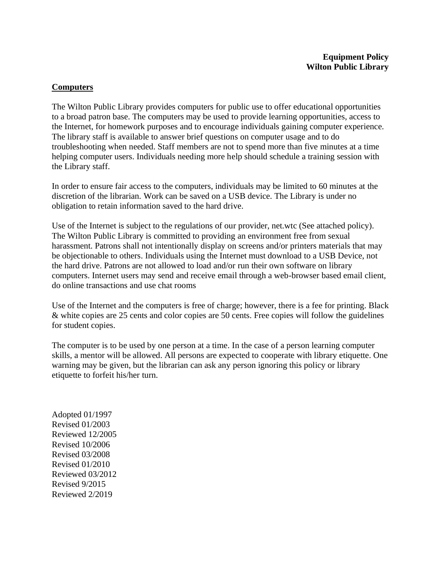#### **Computers**

The Wilton Public Library provides computers for public use to offer educational opportunities to a broad patron base. The computers may be used to provide learning opportunities, access to the Internet, for homework purposes and to encourage individuals gaining computer experience. The library staff is available to answer brief questions on computer usage and to do troubleshooting when needed. Staff members are not to spend more than five minutes at a time helping computer users. Individuals needing more help should schedule a training session with the Library staff.

In order to ensure fair access to the computers, individuals may be limited to 60 minutes at the discretion of the librarian. Work can be saved on a USB device. The Library is under no obligation to retain information saved to the hard drive.

Use of the Internet is subject to the regulations of our provider, net.wtc (See attached policy). The Wilton Public Library is committed to providing an environment free from sexual harassment. Patrons shall not intentionally display on screens and/or printers materials that may be objectionable to others. Individuals using the Internet must download to a USB Device, not the hard drive. Patrons are not allowed to load and/or run their own software on library computers. Internet users may send and receive email through a web-browser based email client, do online transactions and use chat rooms

Use of the Internet and the computers is free of charge; however, there is a fee for printing. Black & white copies are 25 cents and color copies are 50 cents. Free copies will follow the guidelines for student copies.

The computer is to be used by one person at a time. In the case of a person learning computer skills, a mentor will be allowed. All persons are expected to cooperate with library etiquette. One warning may be given, but the librarian can ask any person ignoring this policy or library etiquette to forfeit his/her turn.

Adopted 01/1997 Revised 01/2003 Reviewed 12/2005 Revised 10/2006 Revised 03/2008 Revised 01/2010 Reviewed 03/2012 Revised 9/2015 Reviewed 2/2019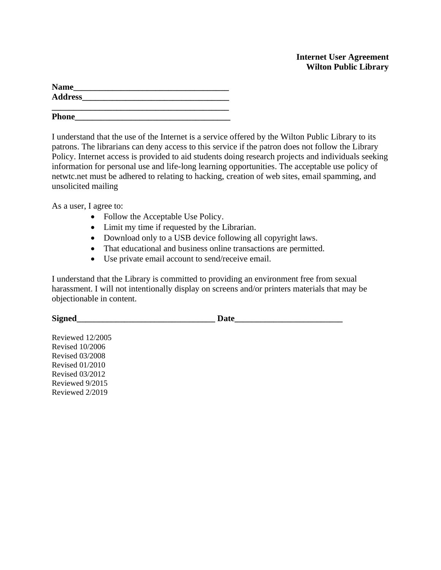## **Internet User Agreement Wilton Public Library**

| <b>Name</b>    |  |  |
|----------------|--|--|
| <b>Address</b> |  |  |
|                |  |  |

I understand that the use of the Internet is a service offered by the Wilton Public Library to its patrons. The librarians can deny access to this service if the patron does not follow the Library Policy. Internet access is provided to aid students doing research projects and individuals seeking information for personal use and life-long learning opportunities. The acceptable use policy of netwtc.net must be adhered to relating to hacking, creation of web sites, email spamming, and unsolicited mailing

As a user, I agree to:

- Follow the Acceptable Use Policy.
- Limit my time if requested by the Librarian.
- Download only to a USB device following all copyright laws.
- That educational and business online transactions are permitted.
- Use private email account to send/receive email.

I understand that the Library is committed to providing an environment free from sexual harassment. I will not intentionally display on screens and/or printers materials that may be objectionable in content.

**Signed** 2.1 **Date** 2.1 **Date** 2.1 **Date** 2.1 **Date** 2.1 **Date** 2.1 **Date** 2.1 **Date** 2.1 **Date** 2.1 **Date** 2.1 **Date** 2.1 **Date** 2.1 **Date** 2.1 **Date** 2.1 **Date** 2.1 **Date** 2.1 **Date** 2.1 **Date** 2.1 **Date** 2.1 **Date** 2.1

Reviewed 12/2005 Revised 10/2006 Revised 03/2008 Revised 01/2010 Revised 03/2012 Reviewed 9/2015 Reviewed 2/2019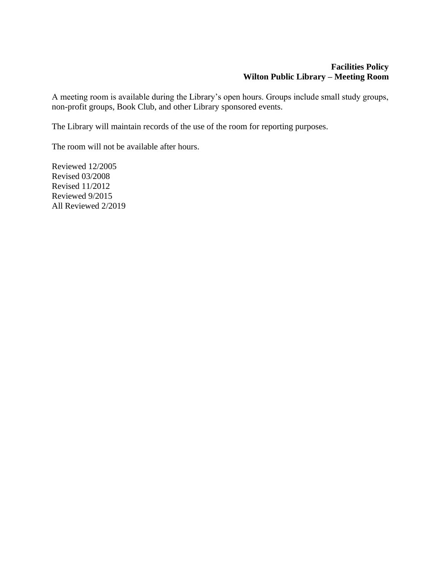# **Facilities Policy Wilton Public Library – Meeting Room**

A meeting room is available during the Library's open hours. Groups include small study groups, non-profit groups, Book Club, and other Library sponsored events.

The Library will maintain records of the use of the room for reporting purposes.

The room will not be available after hours.

Reviewed 12/2005 Revised 03/2008 Revised 11/2012 Reviewed 9/2015 All Reviewed 2/2019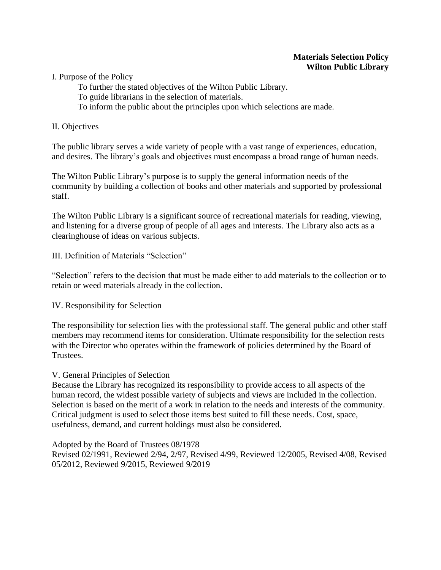## I. Purpose of the Policy

To further the stated objectives of the Wilton Public Library.

- To guide librarians in the selection of materials.
- To inform the public about the principles upon which selections are made.

## II. Objectives

The public library serves a wide variety of people with a vast range of experiences, education, and desires. The library's goals and objectives must encompass a broad range of human needs.

The Wilton Public Library's purpose is to supply the general information needs of the community by building a collection of books and other materials and supported by professional staff.

The Wilton Public Library is a significant source of recreational materials for reading, viewing, and listening for a diverse group of people of all ages and interests. The Library also acts as a clearinghouse of ideas on various subjects.

## III. Definition of Materials "Selection"

"Selection" refers to the decision that must be made either to add materials to the collection or to retain or weed materials already in the collection.

#### IV. Responsibility for Selection

The responsibility for selection lies with the professional staff. The general public and other staff members may recommend items for consideration. Ultimate responsibility for the selection rests with the Director who operates within the framework of policies determined by the Board of Trustees.

#### V. General Principles of Selection

Because the Library has recognized its responsibility to provide access to all aspects of the human record, the widest possible variety of subjects and views are included in the collection. Selection is based on the merit of a work in relation to the needs and interests of the community. Critical judgment is used to select those items best suited to fill these needs. Cost, space, usefulness, demand, and current holdings must also be considered.

Adopted by the Board of Trustees 08/1978 Revised 02/1991, Reviewed 2/94, 2/97, Revised 4/99, Reviewed 12/2005, Revised 4/08, Revised 05/2012, Reviewed 9/2015, Reviewed 9/2019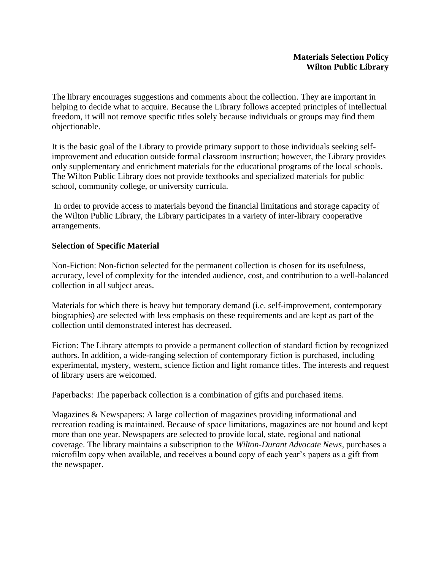The library encourages suggestions and comments about the collection. They are important in helping to decide what to acquire. Because the Library follows accepted principles of intellectual freedom, it will not remove specific titles solely because individuals or groups may find them objectionable.

It is the basic goal of the Library to provide primary support to those individuals seeking selfimprovement and education outside formal classroom instruction; however, the Library provides only supplementary and enrichment materials for the educational programs of the local schools. The Wilton Public Library does not provide textbooks and specialized materials for public school, community college, or university curricula.

In order to provide access to materials beyond the financial limitations and storage capacity of the Wilton Public Library, the Library participates in a variety of inter-library cooperative arrangements.

## **Selection of Specific Material**

Non-Fiction: Non-fiction selected for the permanent collection is chosen for its usefulness, accuracy, level of complexity for the intended audience, cost, and contribution to a well-balanced collection in all subject areas.

Materials for which there is heavy but temporary demand (i.e. self-improvement, contemporary biographies) are selected with less emphasis on these requirements and are kept as part of the collection until demonstrated interest has decreased.

Fiction: The Library attempts to provide a permanent collection of standard fiction by recognized authors. In addition, a wide-ranging selection of contemporary fiction is purchased, including experimental, mystery, western, science fiction and light romance titles. The interests and request of library users are welcomed.

Paperbacks: The paperback collection is a combination of gifts and purchased items.

Magazines & Newspapers: A large collection of magazines providing informational and recreation reading is maintained. Because of space limitations, magazines are not bound and kept more than one year. Newspapers are selected to provide local, state, regional and national coverage. The library maintains a subscription to the *Wilton-Durant Advocate News*, purchases a microfilm copy when available, and receives a bound copy of each year's papers as a gift from the newspaper.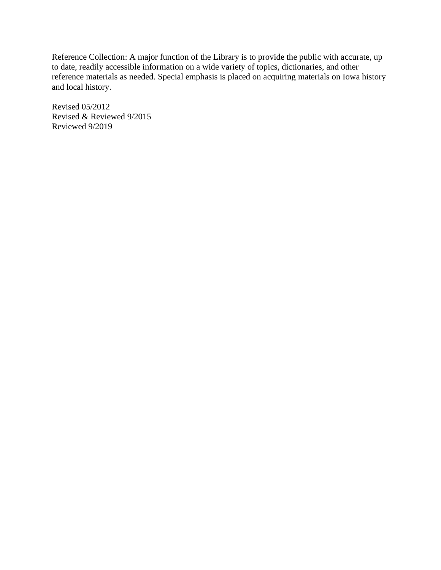Reference Collection: A major function of the Library is to provide the public with accurate, up to date, readily accessible information on a wide variety of topics, dictionaries, and other reference materials as needed. Special emphasis is placed on acquiring materials on Iowa history and local history.

Revised 05/2012 Revised & Reviewed 9/2015 Reviewed 9/2019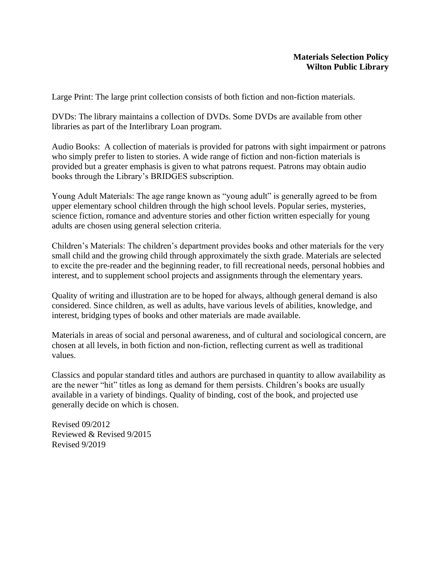Large Print: The large print collection consists of both fiction and non-fiction materials.

DVDs: The library maintains a collection of DVDs. Some DVDs are available from other libraries as part of the Interlibrary Loan program.

Audio Books: A collection of materials is provided for patrons with sight impairment or patrons who simply prefer to listen to stories. A wide range of fiction and non-fiction materials is provided but a greater emphasis is given to what patrons request. Patrons may obtain audio books through the Library's BRIDGES subscription.

Young Adult Materials: The age range known as "young adult" is generally agreed to be from upper elementary school children through the high school levels. Popular series, mysteries, science fiction, romance and adventure stories and other fiction written especially for young adults are chosen using general selection criteria.

Children's Materials: The children's department provides books and other materials for the very small child and the growing child through approximately the sixth grade. Materials are selected to excite the pre-reader and the beginning reader, to fill recreational needs, personal hobbies and interest, and to supplement school projects and assignments through the elementary years.

Quality of writing and illustration are to be hoped for always, although general demand is also considered. Since children, as well as adults, have various levels of abilities, knowledge, and interest, bridging types of books and other materials are made available.

Materials in areas of social and personal awareness, and of cultural and sociological concern, are chosen at all levels, in both fiction and non-fiction, reflecting current as well as traditional values.

Classics and popular standard titles and authors are purchased in quantity to allow availability as are the newer "hit" titles as long as demand for them persists. Children's books are usually available in a variety of bindings. Quality of binding, cost of the book, and projected use generally decide on which is chosen.

Revised 09/2012 Reviewed & Revised 9/2015 Revised 9/2019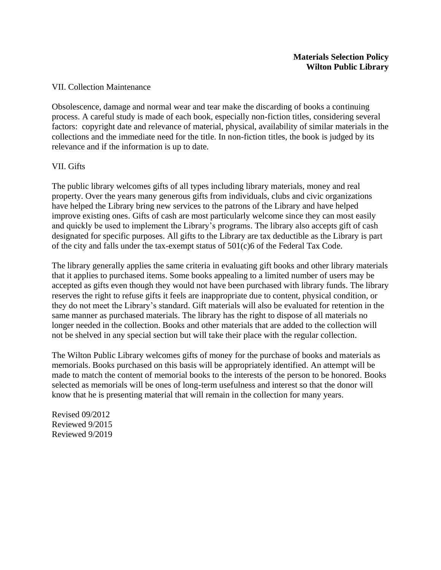#### VII. Collection Maintenance

Obsolescence, damage and normal wear and tear make the discarding of books a continuing process. A careful study is made of each book, especially non-fiction titles, considering several factors: copyright date and relevance of material, physical, availability of similar materials in the collections and the immediate need for the title. In non-fiction titles, the book is judged by its relevance and if the information is up to date.

#### VII. Gifts

The public library welcomes gifts of all types including library materials, money and real property. Over the years many generous gifts from individuals, clubs and civic organizations have helped the Library bring new services to the patrons of the Library and have helped improve existing ones. Gifts of cash are most particularly welcome since they can most easily and quickly be used to implement the Library's programs. The library also accepts gift of cash designated for specific purposes. All gifts to the Library are tax deductible as the Library is part of the city and falls under the tax-exempt status of 501(c)6 of the Federal Tax Code.

The library generally applies the same criteria in evaluating gift books and other library materials that it applies to purchased items. Some books appealing to a limited number of users may be accepted as gifts even though they would not have been purchased with library funds. The library reserves the right to refuse gifts it feels are inappropriate due to content, physical condition, or they do not meet the Library's standard. Gift materials will also be evaluated for retention in the same manner as purchased materials. The library has the right to dispose of all materials no longer needed in the collection. Books and other materials that are added to the collection will not be shelved in any special section but will take their place with the regular collection.

The Wilton Public Library welcomes gifts of money for the purchase of books and materials as memorials. Books purchased on this basis will be appropriately identified. An attempt will be made to match the content of memorial books to the interests of the person to be honored. Books selected as memorials will be ones of long-term usefulness and interest so that the donor will know that he is presenting material that will remain in the collection for many years.

Revised 09/2012 Reviewed 9/2015 Reviewed 9/2019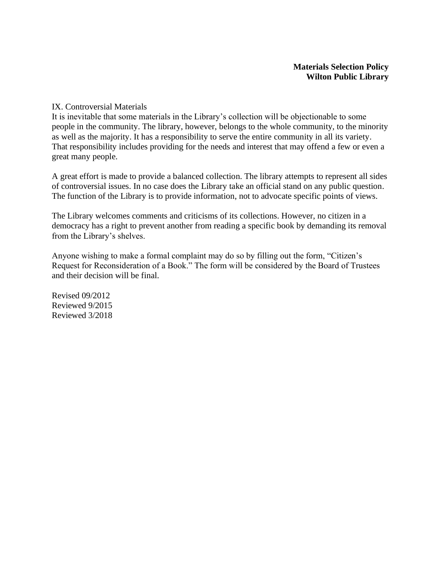#### IX. Controversial Materials

It is inevitable that some materials in the Library's collection will be objectionable to some people in the community. The library, however, belongs to the whole community, to the minority as well as the majority. It has a responsibility to serve the entire community in all its variety. That responsibility includes providing for the needs and interest that may offend a few or even a great many people.

A great effort is made to provide a balanced collection. The library attempts to represent all sides of controversial issues. In no case does the Library take an official stand on any public question. The function of the Library is to provide information, not to advocate specific points of views.

The Library welcomes comments and criticisms of its collections. However, no citizen in a democracy has a right to prevent another from reading a specific book by demanding its removal from the Library's shelves.

Anyone wishing to make a formal complaint may do so by filling out the form, "Citizen's Request for Reconsideration of a Book." The form will be considered by the Board of Trustees and their decision will be final.

Revised 09/2012 Reviewed 9/2015 Reviewed 3/2018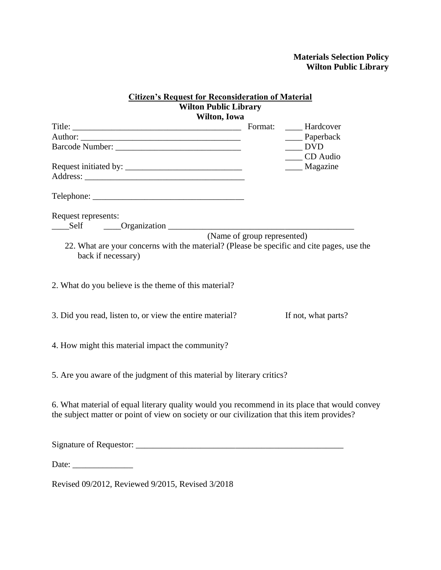| <b>Citizen's Request for Reconsideration of Material</b><br><b>Wilton Public Library</b>                                                                                                     |                             |                          |
|----------------------------------------------------------------------------------------------------------------------------------------------------------------------------------------------|-----------------------------|--------------------------|
| Wilton, Iowa                                                                                                                                                                                 |                             |                          |
|                                                                                                                                                                                              |                             | ____ Hardcover           |
|                                                                                                                                                                                              |                             | ___ Paperback            |
|                                                                                                                                                                                              |                             | $\rule{1em}{0.15mm}$ DVD |
|                                                                                                                                                                                              |                             | ____ CD Audio            |
|                                                                                                                                                                                              |                             | ____ Magazine            |
|                                                                                                                                                                                              |                             |                          |
| $\text{Telephone:}\n \overrightarrow{\qquad \qquad }$                                                                                                                                        |                             |                          |
| Request represents:                                                                                                                                                                          |                             |                          |
| Self Organization                                                                                                                                                                            | (Name of group represented) |                          |
| 22. What are your concerns with the material? (Please be specific and cite pages, use the<br>back if necessary)<br>2. What do you believe is the theme of this material?                     |                             |                          |
| 3. Did you read, listen to, or view the entire material?                                                                                                                                     |                             | If not, what parts?      |
| 4. How might this material impact the community?                                                                                                                                             |                             |                          |
| 5. Are you aware of the judgment of this material by literary critics?                                                                                                                       |                             |                          |
| 6. What material of equal literary quality would you recommend in its place that would convey<br>the subject matter or point of view on society or our civilization that this item provides? |                             |                          |
| Signature of Requestor:                                                                                                                                                                      |                             |                          |

Date: \_\_\_\_\_\_\_\_\_\_\_\_\_\_

Revised 09/2012, Reviewed 9/2015, Revised 3/2018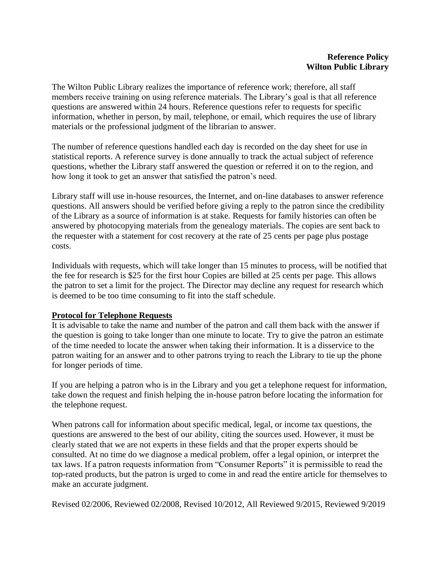## **Reference Policy Wilton Public Library**

The Wilton Public Library realizes the importance of reference work; therefore, all staff members receive training on using reference materials. The Library's goal is that all reference questions are answered within 24 hours. Reference questions refer to requests for specific information, whether in person, by mail, telephone, or email, which requires the use of library materials or the professional judgment of the librarian to answer.

The number of reference questions handled each day is recorded on the day sheet for use in statistical reports. A reference survey is done annually to track the actual subject of reference questions, whether the Library staff answered the question or referred it on to the region, and how long it took to get an answer that satisfied the patron's need.

Library staff will use in-house resources, the Internet, and on-line databases to answer reference questions. All answers should be verified before giving a reply to the patron since the credibility of the Library as a source of information is at stake. Requests for family histories can often be answered by photocopying materials from the genealogy materials. The copies are sent back to the requester with a statement for cost recovery at the rate of 25 cents per page plus postage costs.

Individuals with requests, which will take longer than 15 minutes to process, will be notified that the fee for research is \$25 for the first hour Copies are billed at 25 cents per page. This allows the patron to set a limit for the project. The Director may decline any request for research which is deemed to be too time consuming to fit into the staff schedule.

#### **Protocol for Telephone Requests**

It is advisable to take the name and number of the patron and call them back with the answer if the question is going to take longer than one minute to locate. Try to give the patron an estimate of the time needed to locate the answer when taking their information. It is a disservice to the patron waiting for an answer and to other patrons trying to reach the Library to tie up the phone for longer periods of time.

If you are helping a patron who is in the Library and you get a telephone request for information, take down the request and finish helping the in-house patron before locating the information for the telephone request.

When patrons call for information about specific medical, legal, or income tax questions, the questions are answered to the best of our ability, citing the sources used. However, it must be clearly stated that we are not experts in these fields and that the proper experts should be consulted. At no time do we diagnose a medical problem, offer a legal opinion, or interpret the tax laws. If a patron requests information from "Consumer Reports" it is permissible to read the top-rated products, but the patron is urged to come in and read the entire article for themselves to make an accurate judgment.

Revised 02/2006, Reviewed 02/2008, Revised 10/2012, All Reviewed 9/2015, Reviewed 9/2019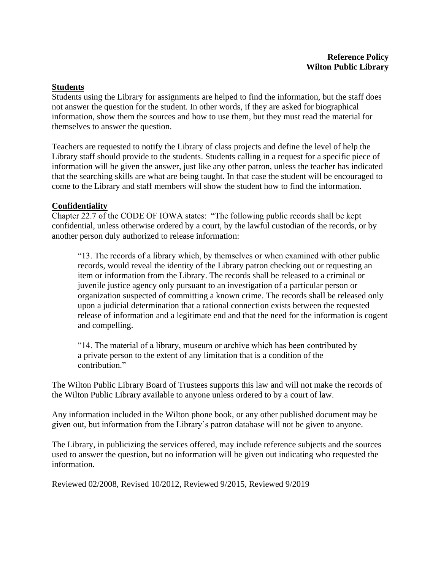#### **Students**

Students using the Library for assignments are helped to find the information, but the staff does not answer the question for the student. In other words, if they are asked for biographical information, show them the sources and how to use them, but they must read the material for themselves to answer the question.

Teachers are requested to notify the Library of class projects and define the level of help the Library staff should provide to the students. Students calling in a request for a specific piece of information will be given the answer, just like any other patron, unless the teacher has indicated that the searching skills are what are being taught. In that case the student will be encouraged to come to the Library and staff members will show the student how to find the information.

## **Confidentiality**

Chapter 22.7 of the CODE OF IOWA states: "The following public records shall be kept confidential, unless otherwise ordered by a court, by the lawful custodian of the records, or by another person duly authorized to release information:

"13. The records of a library which, by themselves or when examined with other public records, would reveal the identity of the Library patron checking out or requesting an item or information from the Library. The records shall be released to a criminal or juvenile justice agency only pursuant to an investigation of a particular person or organization suspected of committing a known crime. The records shall be released only upon a judicial determination that a rational connection exists between the requested release of information and a legitimate end and that the need for the information is cogent and compelling.

"14. The material of a library, museum or archive which has been contributed by a private person to the extent of any limitation that is a condition of the contribution."

The Wilton Public Library Board of Trustees supports this law and will not make the records of the Wilton Public Library available to anyone unless ordered to by a court of law.

Any information included in the Wilton phone book, or any other published document may be given out, but information from the Library's patron database will not be given to anyone.

The Library, in publicizing the services offered, may include reference subjects and the sources used to answer the question, but no information will be given out indicating who requested the information.

Reviewed 02/2008, Revised 10/2012, Reviewed 9/2015, Reviewed 9/2019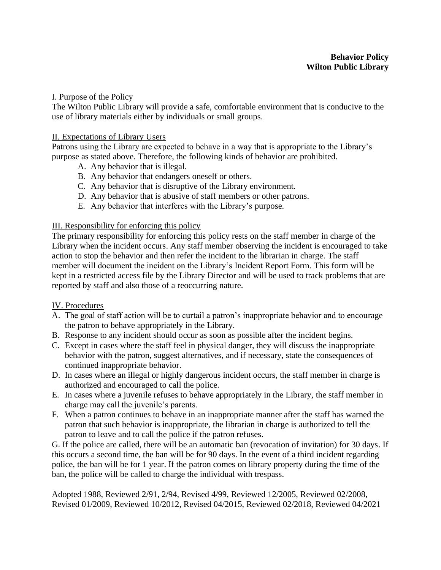## I. Purpose of the Policy

The Wilton Public Library will provide a safe, comfortable environment that is conducive to the use of library materials either by individuals or small groups.

#### II. Expectations of Library Users

Patrons using the Library are expected to behave in a way that is appropriate to the Library's purpose as stated above. Therefore, the following kinds of behavior are prohibited.

- A. Any behavior that is illegal.
- B. Any behavior that endangers oneself or others.
- C. Any behavior that is disruptive of the Library environment.
- D. Any behavior that is abusive of staff members or other patrons.
- E. Any behavior that interferes with the Library's purpose.

## III. Responsibility for enforcing this policy

The primary responsibility for enforcing this policy rests on the staff member in charge of the Library when the incident occurs. Any staff member observing the incident is encouraged to take action to stop the behavior and then refer the incident to the librarian in charge. The staff member will document the incident on the Library's Incident Report Form. This form will be kept in a restricted access file by the Library Director and will be used to track problems that are reported by staff and also those of a reoccurring nature.

#### IV. Procedures

- A. The goal of staff action will be to curtail a patron's inappropriate behavior and to encourage the patron to behave appropriately in the Library.
- B. Response to any incident should occur as soon as possible after the incident begins.
- C. Except in cases where the staff feel in physical danger, they will discuss the inappropriate behavior with the patron, suggest alternatives, and if necessary, state the consequences of continued inappropriate behavior.
- D. In cases where an illegal or highly dangerous incident occurs, the staff member in charge is authorized and encouraged to call the police.
- E. In cases where a juvenile refuses to behave appropriately in the Library, the staff member in charge may call the juvenile's parents.
- F. When a patron continues to behave in an inappropriate manner after the staff has warned the patron that such behavior is inappropriate, the librarian in charge is authorized to tell the patron to leave and to call the police if the patron refuses.

G. If the police are called, there will be an automatic ban (revocation of invitation) for 30 days. If this occurs a second time, the ban will be for 90 days. In the event of a third incident regarding police, the ban will be for 1 year. If the patron comes on library property during the time of the ban, the police will be called to charge the individual with trespass.

Adopted 1988, Reviewed 2/91, 2/94, Revised 4/99, Reviewed 12/2005, Reviewed 02/2008, Revised 01/2009, Reviewed 10/2012, Revised 04/2015, Reviewed 02/2018, Reviewed 04/2021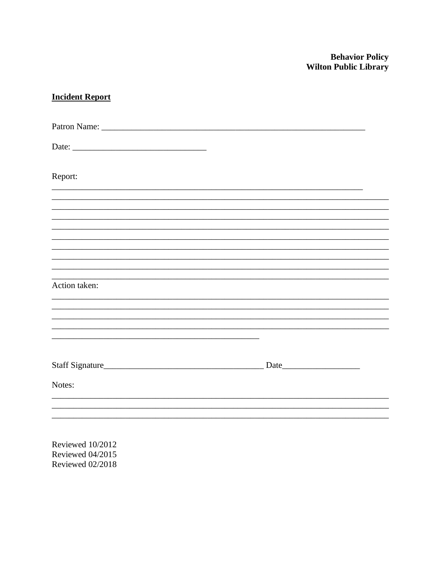**Behavior Policy<br>Wilton Public Library** 

| <b>Incident Report</b> |      |  |
|------------------------|------|--|
|                        |      |  |
|                        |      |  |
| Report:                |      |  |
|                        |      |  |
|                        |      |  |
|                        |      |  |
| Action taken:          |      |  |
|                        |      |  |
|                        | Date |  |
| Notes:                 |      |  |
|                        |      |  |
|                        |      |  |

Reviewed 10/2012 Reviewed 04/2015 Reviewed 02/2018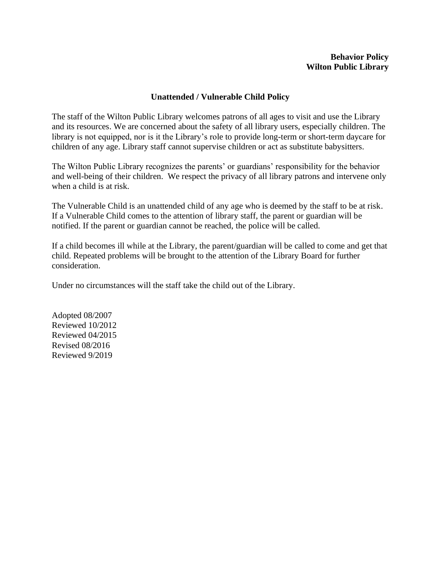### **Behavior Policy Wilton Public Library**

#### **Unattended / Vulnerable Child Policy**

The staff of the Wilton Public Library welcomes patrons of all ages to visit and use the Library and its resources. We are concerned about the safety of all library users, especially children. The library is not equipped, nor is it the Library's role to provide long-term or short-term daycare for children of any age. Library staff cannot supervise children or act as substitute babysitters.

The Wilton Public Library recognizes the parents' or guardians' responsibility for the behavior and well-being of their children. We respect the privacy of all library patrons and intervene only when a child is at risk.

The Vulnerable Child is an unattended child of any age who is deemed by the staff to be at risk. If a Vulnerable Child comes to the attention of library staff, the parent or guardian will be notified. If the parent or guardian cannot be reached, the police will be called.

If a child becomes ill while at the Library, the parent/guardian will be called to come and get that child. Repeated problems will be brought to the attention of the Library Board for further consideration.

Under no circumstances will the staff take the child out of the Library.

Adopted 08/2007 Reviewed 10/2012 Reviewed 04/2015 Revised 08/2016 Reviewed 9/2019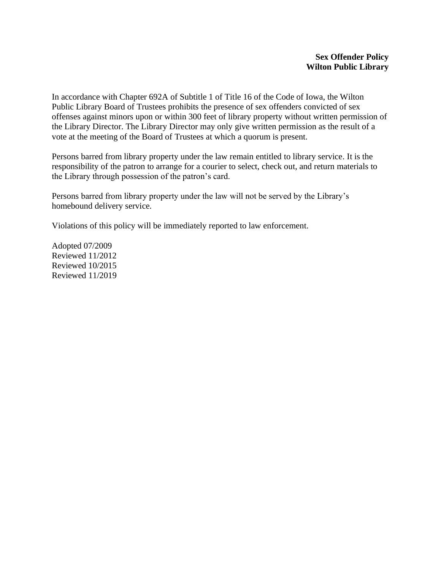In accordance with Chapter 692A of Subtitle 1 of Title 16 of the Code of Iowa, the Wilton Public Library Board of Trustees prohibits the presence of sex offenders convicted of sex offenses against minors upon or within 300 feet of library property without written permission of the Library Director. The Library Director may only give written permission as the result of a vote at the meeting of the Board of Trustees at which a quorum is present.

Persons barred from library property under the law remain entitled to library service. It is the responsibility of the patron to arrange for a courier to select, check out, and return materials to the Library through possession of the patron's card.

Persons barred from library property under the law will not be served by the Library's homebound delivery service.

Violations of this policy will be immediately reported to law enforcement.

Adopted 07/2009 Reviewed 11/2012 Reviewed 10/2015 Reviewed 11/2019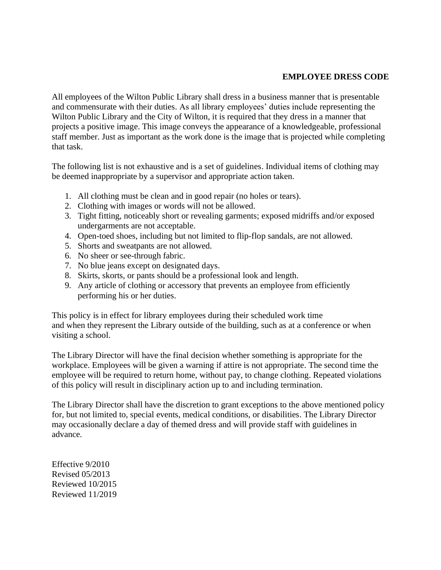# **EMPLOYEE DRESS CODE**

All employees of the Wilton Public Library shall dress in a business manner that is presentable and commensurate with their duties. As all library employees' duties include representing the Wilton Public Library and the City of Wilton, it is required that they dress in a manner that projects a positive image. This image conveys the appearance of a knowledgeable, professional staff member. Just as important as the work done is the image that is projected while completing that task.

The following list is not exhaustive and is a set of guidelines. Individual items of clothing may be deemed inappropriate by a supervisor and appropriate action taken.

- 1. All clothing must be clean and in good repair (no holes or tears).
- 2. Clothing with images or words will not be allowed.
- 3. Tight fitting, noticeably short or revealing garments; exposed midriffs and/or exposed undergarments are not acceptable.
- 4. Open-toed shoes, including but not limited to flip-flop sandals, are not allowed.
- 5. Shorts and sweatpants are not allowed.
- 6. No sheer or see-through fabric.
- 7. No blue jeans except on designated days.
- 8. Skirts, skorts, or pants should be a professional look and length.
- 9. Any article of clothing or accessory that prevents an employee from efficiently performing his or her duties.

This policy is in effect for library employees during their scheduled work time and when they represent the Library outside of the building, such as at a conference or when visiting a school.

The Library Director will have the final decision whether something is appropriate for the workplace. Employees will be given a warning if attire is not appropriate. The second time the employee will be required to return home, without pay, to change clothing. Repeated violations of this policy will result in disciplinary action up to and including termination.

The Library Director shall have the discretion to grant exceptions to the above mentioned policy for, but not limited to, special events, medical conditions, or disabilities. The Library Director may occasionally declare a day of themed dress and will provide staff with guidelines in advance.

Effective 9/2010 Revised 05/2013 Reviewed 10/2015 Reviewed 11/2019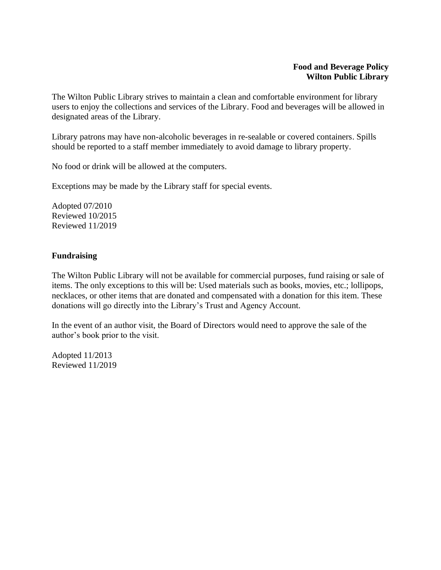## **Food and Beverage Policy Wilton Public Library**

The Wilton Public Library strives to maintain a clean and comfortable environment for library users to enjoy the collections and services of the Library. Food and beverages will be allowed in designated areas of the Library.

Library patrons may have non-alcoholic beverages in re-sealable or covered containers. Spills should be reported to a staff member immediately to avoid damage to library property.

No food or drink will be allowed at the computers.

Exceptions may be made by the Library staff for special events.

Adopted 07/2010 Reviewed 10/2015 Reviewed 11/2019

## **Fundraising**

The Wilton Public Library will not be available for commercial purposes, fund raising or sale of items. The only exceptions to this will be: Used materials such as books, movies, etc.; lollipops, necklaces, or other items that are donated and compensated with a donation for this item. These donations will go directly into the Library's Trust and Agency Account.

In the event of an author visit, the Board of Directors would need to approve the sale of the author's book prior to the visit.

Adopted 11/2013 Reviewed 11/2019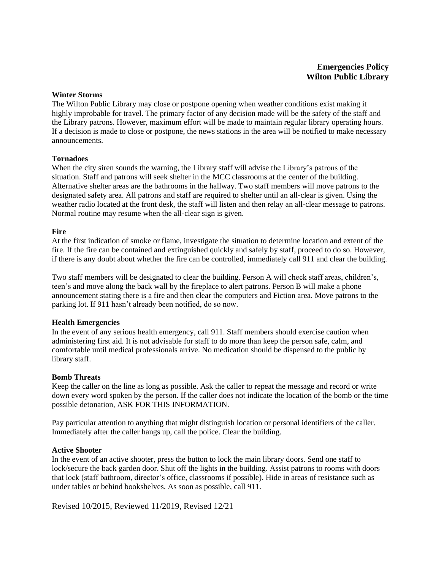#### **Winter Storms**

The Wilton Public Library may close or postpone opening when weather conditions exist making it highly improbable for travel. The primary factor of any decision made will be the safety of the staff and the Library patrons. However, maximum effort will be made to maintain regular library operating hours. If a decision is made to close or postpone, the news stations in the area will be notified to make necessary announcements.

#### **Tornadoes**

When the city siren sounds the warning, the Library staff will advise the Library's patrons of the situation. Staff and patrons will seek shelter in the MCC classrooms at the center of the building. Alternative shelter areas are the bathrooms in the hallway. Two staff members will move patrons to the designated safety area. All patrons and staff are required to shelter until an all-clear is given. Using the weather radio located at the front desk, the staff will listen and then relay an all-clear message to patrons. Normal routine may resume when the all-clear sign is given.

#### **Fire**

At the first indication of smoke or flame, investigate the situation to determine location and extent of the fire. If the fire can be contained and extinguished quickly and safely by staff, proceed to do so. However, if there is any doubt about whether the fire can be controlled, immediately call 911 and clear the building.

Two staff members will be designated to clear the building. Person A will check staff areas, children's, teen's and move along the back wall by the fireplace to alert patrons. Person B will make a phone announcement stating there is a fire and then clear the computers and Fiction area. Move patrons to the parking lot. If 911 hasn't already been notified, do so now.

#### **Health Emergencies**

In the event of any serious health emergency, call 911. Staff members should exercise caution when administering first aid. It is not advisable for staff to do more than keep the person safe, calm, and comfortable until medical professionals arrive. No medication should be dispensed to the public by library staff.

#### **Bomb Threats**

Keep the caller on the line as long as possible. Ask the caller to repeat the message and record or write down every word spoken by the person. If the caller does not indicate the location of the bomb or the time possible detonation, ASK FOR THIS INFORMATION.

Pay particular attention to anything that might distinguish location or personal identifiers of the caller. Immediately after the caller hangs up, call the police. Clear the building.

#### **Active Shooter**

In the event of an active shooter, press the button to lock the main library doors. Send one staff to lock/secure the back garden door. Shut off the lights in the building. Assist patrons to rooms with doors that lock (staff bathroom, director's office, classrooms if possible). Hide in areas of resistance such as under tables or behind bookshelves. As soon as possible, call 911.

Revised 10/2015, Reviewed 11/2019, Revised 12/21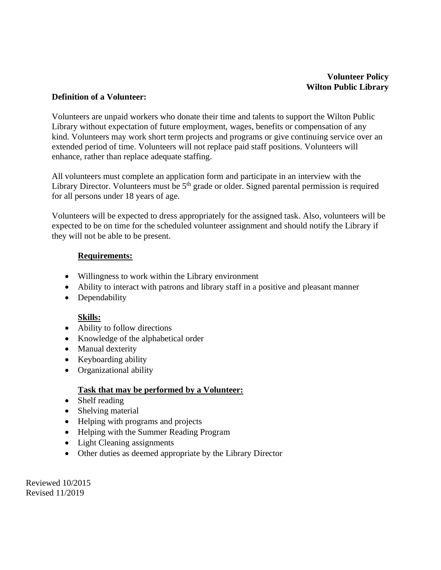#### **Definition of a Volunteer:**

Volunteers are unpaid workers who donate their time and talents to support the Wilton Public Library without expectation of future employment, wages, benefits or compensation of any kind. Volunteers may work short term projects and programs or give continuing service over an extended period of time. Volunteers will not replace paid staff positions. Volunteers will enhance, rather than replace adequate staffing.

All volunteers must complete an application form and participate in an interview with the Library Director. Volunteers must be 5<sup>th</sup> grade or older. Signed parental permission is required for all persons under 18 years of age.

Volunteers will be expected to dress appropriately for the assigned task. Also, volunteers will be expected to be on time for the scheduled volunteer assignment and should notify the Library if they will not be able to be present.

## **Requirements:**

- Willingness to work within the Library environment
- Ability to interact with patrons and library staff in a positive and pleasant manner
- Dependability

## **Skills:**

- Ability to follow directions
- Knowledge of the alphabetical order
- Manual dexterity
- Keyboarding ability
- Organizational ability

## **Task that may be performed by a Volunteer:**

- Shelf reading
- Shelving material
- Helping with programs and projects
- Helping with the Summer Reading Program
- Light Cleaning assignments
- Other duties as deemed appropriate by the Library Director

Reviewed 10/2015 Revised 11/2019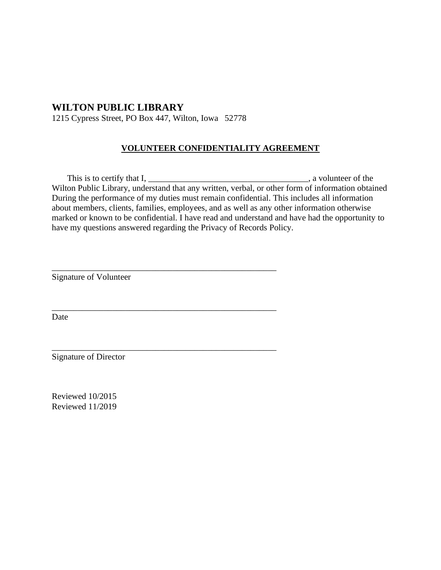# **WILTON PUBLIC LIBRARY**

1215 Cypress Street, PO Box 447, Wilton, Iowa 52778

\_\_\_\_\_\_\_\_\_\_\_\_\_\_\_\_\_\_\_\_\_\_\_\_\_\_\_\_\_\_\_\_\_\_\_\_\_\_\_\_\_\_\_\_\_\_\_\_\_\_\_\_

\_\_\_\_\_\_\_\_\_\_\_\_\_\_\_\_\_\_\_\_\_\_\_\_\_\_\_\_\_\_\_\_\_\_\_\_\_\_\_\_\_\_\_\_\_\_\_\_\_\_\_\_

\_\_\_\_\_\_\_\_\_\_\_\_\_\_\_\_\_\_\_\_\_\_\_\_\_\_\_\_\_\_\_\_\_\_\_\_\_\_\_\_\_\_\_\_\_\_\_\_\_\_\_\_

## **VOLUNTEER CONFIDENTIALITY AGREEMENT**

This is to certify that I, \_\_\_\_\_\_\_\_\_\_\_\_\_\_\_\_\_\_\_\_\_\_\_\_\_\_\_\_\_\_\_\_\_\_, a volunteer of the Wilton Public Library, understand that any written, verbal, or other form of information obtained During the performance of my duties must remain confidential. This includes all information about members, clients, families, employees, and as well as any other information otherwise marked or known to be confidential. I have read and understand and have had the opportunity to have my questions answered regarding the Privacy of Records Policy.

Signature of Volunteer

Date

Signature of Director

Reviewed 10/2015 Reviewed 11/2019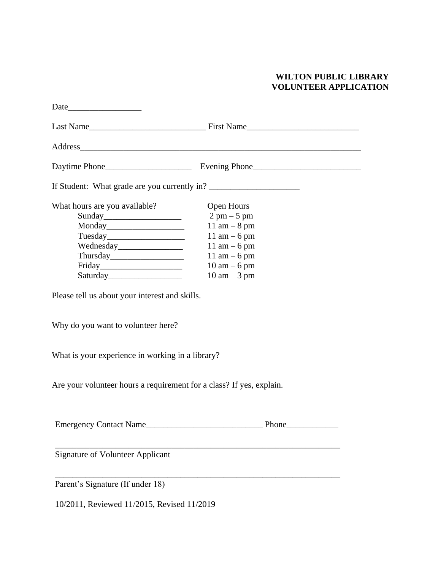# **WILTON PUBLIC LIBRARY VOLUNTEER APPLICATION**

|                                                                                      | Address and the contract of the contract of the contract of the contract of the contract of the contract of the contract of the contract of the contract of the contract of the contract of the contract of the contract of th |  |
|--------------------------------------------------------------------------------------|--------------------------------------------------------------------------------------------------------------------------------------------------------------------------------------------------------------------------------|--|
|                                                                                      |                                                                                                                                                                                                                                |  |
|                                                                                      |                                                                                                                                                                                                                                |  |
| What hours are you available?                                                        | Open Hours                                                                                                                                                                                                                     |  |
|                                                                                      | $2 \text{ pm} - 5 \text{ pm}$                                                                                                                                                                                                  |  |
|                                                                                      | 11 am $-8$ pm                                                                                                                                                                                                                  |  |
|                                                                                      | 11 am $-6$ pm                                                                                                                                                                                                                  |  |
|                                                                                      | 11 am $-6$ pm                                                                                                                                                                                                                  |  |
|                                                                                      | 11 am $-6$ pm                                                                                                                                                                                                                  |  |
|                                                                                      | $10 \text{ am} - 6 \text{ pm}$                                                                                                                                                                                                 |  |
|                                                                                      | $10 \text{ am} - 3 \text{ pm}$                                                                                                                                                                                                 |  |
| Please tell us about your interest and skills.<br>Why do you want to volunteer here? |                                                                                                                                                                                                                                |  |
| What is your experience in working in a library?                                     |                                                                                                                                                                                                                                |  |
| Are your volunteer hours a requirement for a class? If yes, explain.                 |                                                                                                                                                                                                                                |  |
| <b>Emergency Contact Name</b>                                                        | Phone                                                                                                                                                                                                                          |  |
| <b>Signature of Volunteer Applicant</b>                                              |                                                                                                                                                                                                                                |  |
| Parent's Signature (If under 18)                                                     |                                                                                                                                                                                                                                |  |
| 10/2011, Reviewed 11/2015, Revised 11/2019                                           |                                                                                                                                                                                                                                |  |
|                                                                                      |                                                                                                                                                                                                                                |  |